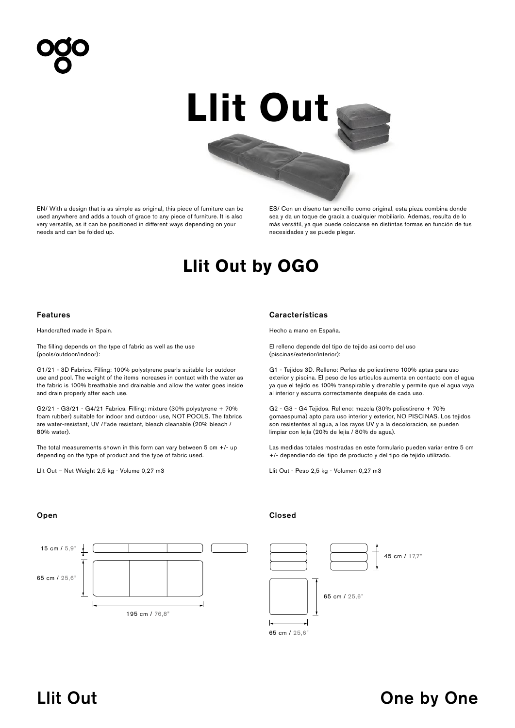# **Llit Out**

EN/ With a design that is as simple as original, this piece of furniture can be used anywhere and adds a touch of grace to any piece of furniture. It is also very versatile, as it can be positioned in different ways depending on your needs and can be folded up.

ES/ Con un diseño tan sencillo como original, esta pieza combina donde sea y da un toque de gracia a cualquier mobiliario. Además, resulta de lo más versátil, ya que puede colocarse en distintas formas en función de tus necesidades y se puede plegar.

## **Llit Out by OGO**

Handcrafted made in Spain.

The filling depends on the type of fabric as well as the use (pools/outdoor/indoor):

G1/21 - 3D Fabrics. Filling: 100% polystyrene pearls suitable for outdoor use and pool. The weight of the items increases in contact with the water as the fabric is 100% breathable and drainable and allow the water goes inside and drain properly after each use.

G2/21 - G3/21 - G4/21 Fabrics. Filling: mixture (30% polystyrene + 70% foam rubber) suitable for indoor and outdoor use, NOT POOLS. The fabrics are water-resistant, UV /Fade resistant, bleach cleanable (20% bleach / 80% water).

The total measurements shown in this form can vary between  $5$  cm  $+/$ - up depending on the type of product and the type of fabric used.

Llit Out – Net Weight 2,5 kg - Volume 0,27 m3

### Features Características

Hecho a mano en España.

El relleno depende del tipo de tejido así como del uso (piscinas/exterior/interior):

G1 - Tejidos 3D. Relleno: Perlas de poliestireno 100% aptas para uso exterior y piscina. El peso de los artículos aumenta en contacto con el agua ya que el tejido es 100% transpirable y drenable y permite que el agua vaya al interior y escurra correctamente después de cada uso.

G2 - G3 - G4 Tejidos. Relleno: mezcla (30% poliestireno + 70% gomaespuma) apto para uso interior y exterior, NO PISCINAS. Los tejidos son resistentes al agua, a los rayos UV y a la decoloración, se pueden limpiar con lejía (20% de lejía / 80% de agua).

Las medidas totales mostradas en este formulario pueden variar entre 5 cm +/- dependiendo del tipo de producto y del tipo de tejido utilizado.

Llit Out - Peso 2,5 kg - Volumen 0,27 m3

# 195 cm / 76,8" 65 cm / 25,6" 15 cm / 5,9"

### Open Closed



### Llit Out and the contract of the Cone by One by One